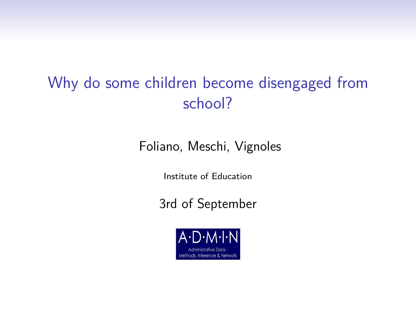# Why do some children become disengaged from school?

Foliano, Meschi, Vignoles

Institute of Education

3rd of September

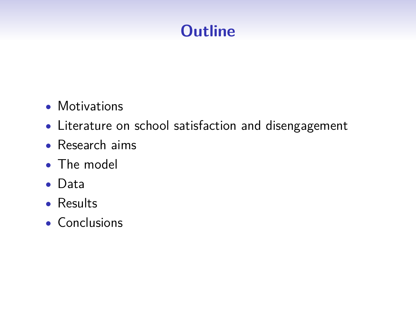# **Outline**

- Motivations
- Literature on school satisfaction and disengagement
- Research aims
- The model
- Data
- Results
- Conclusions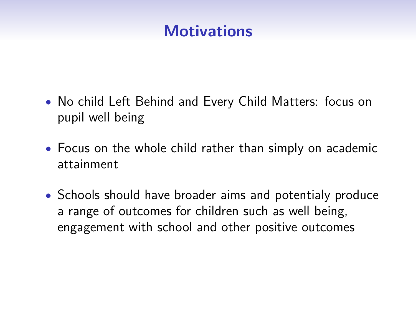## **Motivations**

- No child Left Behind and Every Child Matters: focus on pupil well being
- Focus on the whole child rather than simply on academic attainment
- Schools should have broader aims and potentialy produce a range of outcomes for children such as well being, engagement with school and other positive outcomes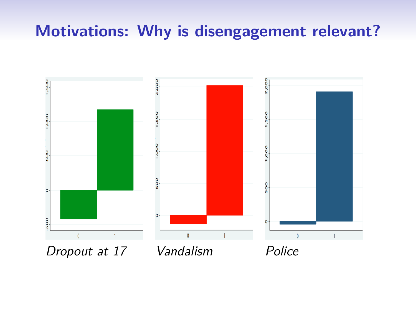## **Motivations: Why is disengagement relevant?**

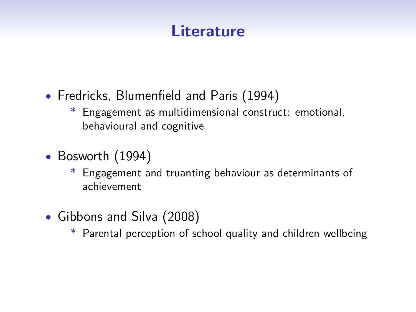## **Literature**

- Fredricks, Blumenfield and Paris (1994)
	- Engagement as multidimensional construct: emotional, behavioural and cognitive
- Bosworth (1994)
	- Engagement and truanting behaviour as determinants of achievement
- Gibbons and Silva (2008)
	- Parental perception of school quality and children wellbeing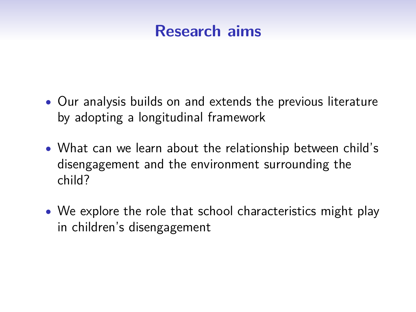### **Research aims**

- Our analysis builds on and extends the previous literature by adopting a longitudinal framework
- What can we learn about the relationship between child's disengagement and the environment surrounding the child?
- We explore the role that school characteristics might play in children's disengagement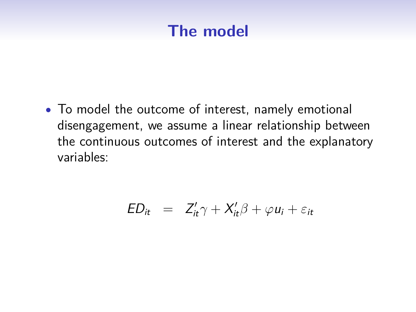## **The model**

• To model the outcome of interest, namely emotional disengagement, we assume a linear relationship between the continuous outcomes of interest and the explanatory variables:

$$
ED_{it} = Z'_{it}\gamma + X'_{it}\beta + \varphi u_i + \varepsilon_{it}
$$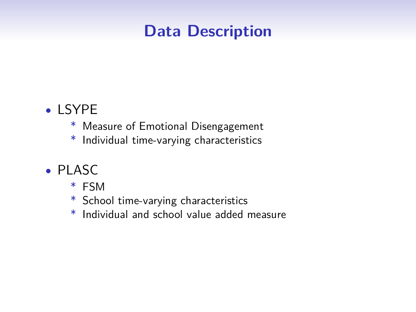### **Data Description**

#### • LSYPE

- \* Measure of Emotional Disengagement
- \* Individual time-varying characteristics
- PLASC
	- \* FSM
	- \* School time-varying characteristics
	- \* Individual and school value added measure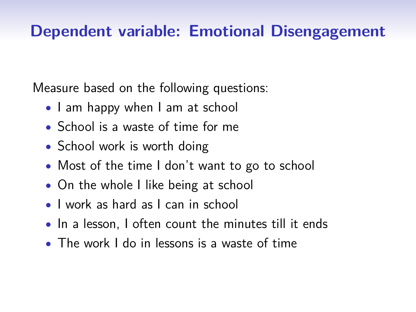## **Dependent variable: Emotional Disengagement**

Measure based on the following questions:

- I am happy when I am at school
- School is a waste of time for me
- School work is worth doing
- Most of the time I don't want to go to school
- On the whole I like being at school
- I work as hard as I can in school
- In a lesson, I often count the minutes till it ends
- The work I do in lessons is a waste of time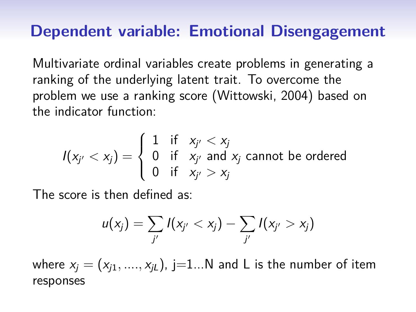#### **Dependent variable: Emotional Disengagement**

Multivariate ordinal variables create problems in generating a ranking of the underlying latent trait. To overcome the problem we use a ranking score (Wittowski, 2004) based on the indicator function:

$$
I(x_{j'} < x_j) = \begin{cases} 1 & \text{if } x_{j'} < x_j \\ 0 & \text{if } x_{j'} \text{ and } x_j \text{ cannot be ordered} \\ 0 & \text{if } x_{j'} > x_j \end{cases}
$$

The score is then defined as:

$$
u(x_j) = \sum_{j'} I(x_{j'} < x_j) - \sum_{j'} I(x_{j'} > x_j)
$$

where  $x_i = (x_{i1}, ..., x_{il})$ , j=1...N and L is the number of item responses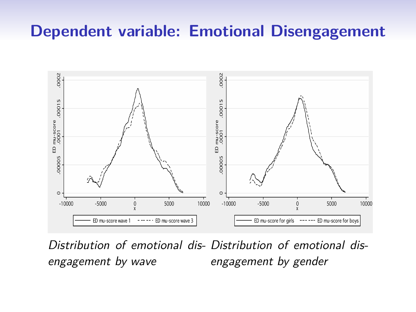### **Dependent variable: Emotional Disengagement**



Distribution of emotional dis-Distribution of emotional disengagement by wave engagement by gender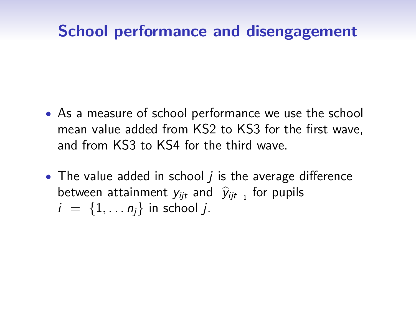## **School performance and disengagement**

- As a measure of school performance we use the school mean value added from KS2 to KS3 for the first wave, and from KS3 to KS4 for the third wave.
- The value added in school  $i$  is the average difference between attainment  $y_{ijt}$  and  $\hat{y}_{ijt-1}$  for pupils  $i = \{1, \ldots n_i\}$  in school *j*.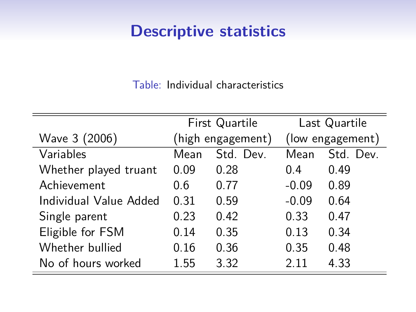## **Descriptive statistics**

Table: Individual characteristics

|                        | First Quartile    |           | Last Quartile    |           |
|------------------------|-------------------|-----------|------------------|-----------|
| Wave 3 (2006)          | (high engagement) |           | (low engagement) |           |
| Variables              | Mean              | Std. Dev. | Mean             | Std. Dev. |
| Whether played truant  | 0.09              | 0.28      | 0 4              | 0.49      |
| Achievement            | 0.6               | 0.77      | $-0.09$          | 0.89      |
| Individual Value Added | 0.31              | 0.59      | $-0.09$          | 0.64      |
| Single parent          | 0.23              | 0.42      | 0.33             | 0.47      |
| Eligible for FSM       | 0.14              | 0.35      | 0.13             | 0.34      |
| Whether bullied        | 0.16              | 0.36      | 0.35             | 0.48      |
| No of hours worked     | 1.55              | 3.32      | 2.11             | 4.33      |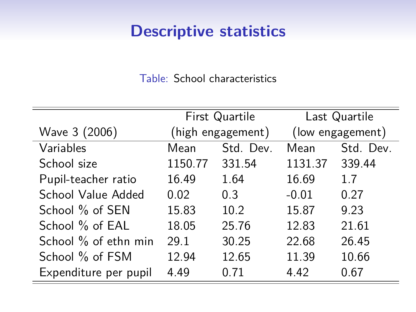## **Descriptive statistics**

Table: School characteristics

|                       | First Quartile    |           | Last Quartile    |           |
|-----------------------|-------------------|-----------|------------------|-----------|
| Wave 3 (2006)         | (high engagement) |           | (low engagement) |           |
| Variables             | Mean              | Std. Dev. | Mean             | Std. Dev. |
| School size           | 1150.77           | 331.54    | 1131.37          | 339.44    |
| Pupil-teacher ratio   | 16.49             | 1.64      | 16.69            | 1.7       |
| School Value Added    | 0.02              | 0.3       | $-0.01$          | 0.27      |
| School % of SEN       | 15.83             | 10.2      | 15.87            | 9.23      |
| School % of EAL       | 18.05             | 25.76     | 12.83            | 21.61     |
| School % of ethn min  | 29.1              | 30.25     | 22.68            | 26.45     |
| School % of FSM       | 12.94             | 12.65     | 11.39            | 10.66     |
| Expenditure per pupil | 4.49              | 0.71      | 4.42             | 0.67      |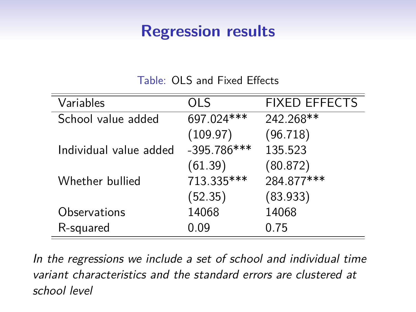#### **Regression results**

Table: OLS and Fixed Effects

| Variables              | <b>OLS</b>    | <b>FIXED EFFECTS</b> |
|------------------------|---------------|----------------------|
| School value added     | 697.024***    | 242.268**            |
|                        | (109.97)      | (96.718)             |
| Individual value added | $-395.786***$ | 135.523              |
|                        | (61.39)       | (80.872)             |
| Whether bullied        | 713.335***    | 284.877***           |
|                        | (52.35)       | (83.933)             |
| Observations           | 14068         | 14068                |
| R-squared              | 0.09          | 0.75                 |

In the regressions we include a set of school and individual time variant characteristics and the standard errors are clustered at school level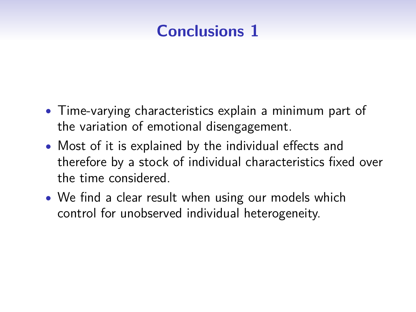# **Conclusions 1**

- Time-varying characteristics explain a minimum part of the variation of emotional disengagement.
- Most of it is explained by the individual effects and therefore by a stock of individual characteristics fixed over the time considered.
- We find a clear result when using our models which control for unobserved individual heterogeneity.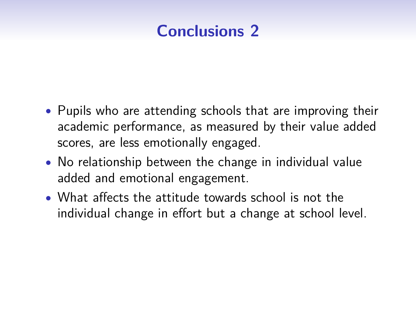# **Conclusions 2**

- Pupils who are attending schools that are improving their academic performance, as measured by their value added scores, are less emotionally engaged.
- No relationship between the change in individual value added and emotional engagement.
- What affects the attitude towards school is not the individual change in effort but a change at school level.